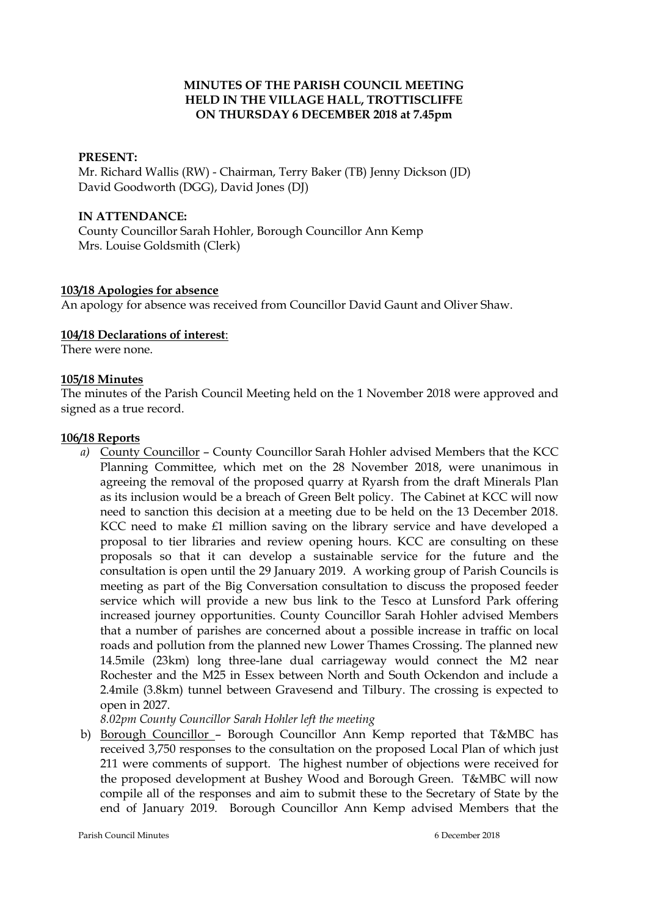## **MINUTES OF THE PARISH COUNCIL MEETING HELD IN THE VILLAGE HALL, TROTTISCLIFFE ON THURSDAY 6 DECEMBER 2018 at 7.45pm**

#### **PRESENT:**

Mr. Richard Wallis (RW) - Chairman, Terry Baker (TB) Jenny Dickson (JD) David Goodworth (DGG), David Jones (DJ)

#### **IN ATTENDANCE:**

County Councillor Sarah Hohler, Borough Councillor Ann Kemp Mrs. Louise Goldsmith (Clerk)

#### **103/18 Apologies for absence**

An apology for absence was received from Councillor David Gaunt and Oliver Shaw.

#### **104/18 Declarations of interest**:

There were none.

#### **105/18 Minutes**

The minutes of the Parish Council Meeting held on the 1 November 2018 were approved and signed as a true record.

#### **106/18 Reports**

*a)* County Councillor – County Councillor Sarah Hohler advised Members that the KCC Planning Committee, which met on the 28 November 2018, were unanimous in agreeing the removal of the proposed quarry at Ryarsh from the draft Minerals Plan as its inclusion would be a breach of Green Belt policy. The Cabinet at KCC will now need to sanction this decision at a meeting due to be held on the 13 December 2018. KCC need to make £1 million saving on the library service and have developed a proposal to tier libraries and review opening hours. KCC are consulting on these proposals so that it can develop a sustainable service for the future and the consultation is open until the 29 January 2019. A working group of Parish Councils is meeting as part of the Big Conversation consultation to discuss the proposed feeder service which will provide a new bus link to the Tesco at Lunsford Park offering increased journey opportunities. County Councillor Sarah Hohler advised Members that a number of parishes are concerned about a possible increase in traffic on local roads and pollution from the planned new Lower Thames Crossing. The planned new 14.5mile (23km) long three-lane dual carriageway would connect the M2 near Rochester and the M25 in Essex between North and South Ockendon and include a 2.4mile (3.8km) tunnel between Gravesend and Tilbury. The crossing is expected to open in 2027.

*8.02pm County Councillor Sarah Hohler left the meeting*

b) Borough Councillor – Borough Councillor Ann Kemp reported that T&MBC has received 3,750 responses to the consultation on the proposed Local Plan of which just 211 were comments of support. The highest number of objections were received for the proposed development at Bushey Wood and Borough Green. T&MBC will now compile all of the responses and aim to submit these to the Secretary of State by the end of January 2019. Borough Councillor Ann Kemp advised Members that the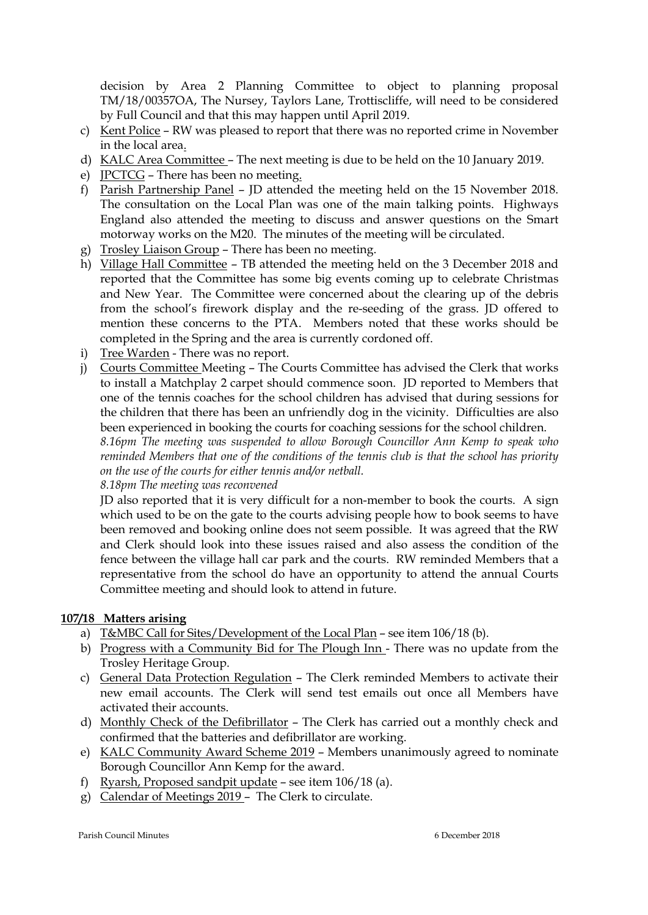decision by Area 2 Planning Committee to object to planning proposal TM/18/00357OA, The Nursey, Taylors Lane, Trottiscliffe, will need to be considered by Full Council and that this may happen until April 2019.

- c) Kent Police RW was pleased to report that there was no reported crime in November in the local area.
- d) KALC Area Committee The next meeting is due to be held on the 10 January 2019.
- e) JPCTCG There has been no meeting.
- f) Parish Partnership Panel JD attended the meeting held on the 15 November 2018. The consultation on the Local Plan was one of the main talking points. Highways England also attended the meeting to discuss and answer questions on the Smart motorway works on the M20. The minutes of the meeting will be circulated.
- g) Trosley Liaison Group There has been no meeting.
- h) Village Hall Committee TB attended the meeting held on the 3 December 2018 and reported that the Committee has some big events coming up to celebrate Christmas and New Year. The Committee were concerned about the clearing up of the debris from the school's firework display and the re-seeding of the grass. JD offered to mention these concerns to the PTA. Members noted that these works should be completed in the Spring and the area is currently cordoned off.
- i) Tree Warden There was no report.
- j) Courts Committee Meeting The Courts Committee has advised the Clerk that works to install a Matchplay 2 carpet should commence soon. JD reported to Members that one of the tennis coaches for the school children has advised that during sessions for the children that there has been an unfriendly dog in the vicinity. Difficulties are also been experienced in booking the courts for coaching sessions for the school children.

*8.16pm The meeting was suspended to allow Borough Councillor Ann Kemp to speak who reminded Members that one of the conditions of the tennis club is that the school has priority on the use of the courts for either tennis and/or netball.*

*8.18pm The meeting was reconvened*

JD also reported that it is very difficult for a non-member to book the courts. A sign which used to be on the gate to the courts advising people how to book seems to have been removed and booking online does not seem possible. It was agreed that the RW and Clerk should look into these issues raised and also assess the condition of the fence between the village hall car park and the courts. RW reminded Members that a representative from the school do have an opportunity to attend the annual Courts Committee meeting and should look to attend in future.

## **107/18 Matters arising**

- a) T&MBC Call for Sites/Development of the Local Plan see item 106/18 (b).
- b) Progress with a Community Bid for The Plough Inn There was no update from the Trosley Heritage Group.
- c) General Data Protection Regulation The Clerk reminded Members to activate their new email accounts. The Clerk will send test emails out once all Members have activated their accounts.
- d) Monthly Check of the Defibrillator The Clerk has carried out a monthly check and confirmed that the batteries and defibrillator are working.
- e) KALC Community Award Scheme 2019 Members unanimously agreed to nominate Borough Councillor Ann Kemp for the award.
- f) Ryarsh, Proposed sandpit update see item 106/18 (a).
- g) Calendar of Meetings 2019 The Clerk to circulate.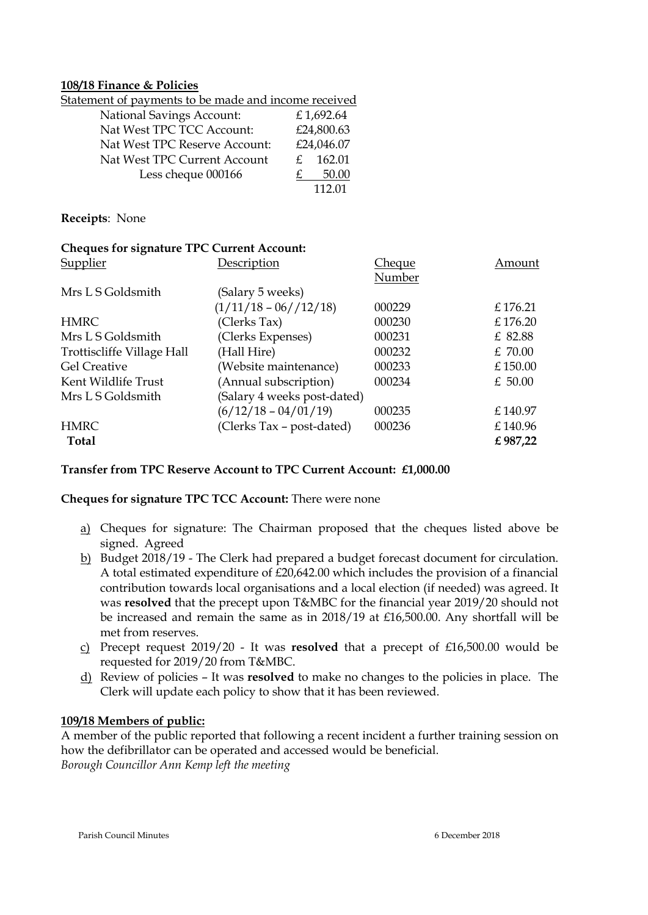#### **108/18 Finance & Policies**

| <u>Statement of payments to be made and income received</u> |               |            |
|-------------------------------------------------------------|---------------|------------|
| <b>National Savings Account:</b>                            |               | £1,692.64  |
| Nat West TPC TCC Account:                                   |               | £24,800.63 |
| Nat West TPC Reserve Account:                               |               | £24,046.07 |
| Nat West TPC Current Account                                | $\mathcal{F}$ | 162.01     |
| Less cheque 000166                                          |               | 50.00      |
|                                                             |               | 112 01     |

#### **Receipts**: None

| <b>Cheques for signature TPC Current Account:</b> |                             |        |         |
|---------------------------------------------------|-----------------------------|--------|---------|
| Supplier                                          | Description                 | Cheque | Amount  |
|                                                   |                             | Number |         |
| Mrs L S Goldsmith                                 | (Salary 5 weeks)            |        |         |
|                                                   | $(1/11/18 - 06//12/18)$     | 000229 | £176.21 |
| <b>HMRC</b>                                       | (Clerks Tax)                | 000230 | £176.20 |
| Mrs L S Goldsmith                                 | (Clerks Expenses)           | 000231 | £ 82.88 |
| Trottiscliffe Village Hall                        | (Hall Hire)                 | 000232 | £70.00  |
| <b>Gel Creative</b>                               | (Website maintenance)       | 000233 | £150.00 |
| Kent Wildlife Trust                               | (Annual subscription)       | 000234 | £ 50.00 |
| Mrs L S Goldsmith                                 | (Salary 4 weeks post-dated) |        |         |
|                                                   | $(6/12/18 - 04/01/19)$      | 000235 | £140.97 |
| <b>HMRC</b>                                       | (Clerks Tax - post-dated)   | 000236 | £140.96 |
| <b>Total</b>                                      |                             |        | £987,22 |

## **Transfer from TPC Reserve Account to TPC Current Account: £1,000.00**

## **Cheques for signature TPC TCC Account:** There were none

- a) Cheques for signature: The Chairman proposed that the cheques listed above be signed. Agreed
- b) Budget 2018/19 The Clerk had prepared a budget forecast document for circulation. A total estimated expenditure of £20,642.00 which includes the provision of a financial contribution towards local organisations and a local election (if needed) was agreed. It was **resolved** that the precept upon T&MBC for the financial year 2019/20 should not be increased and remain the same as in 2018/19 at £16,500.00. Any shortfall will be met from reserves.
- c) Precept request 2019/20 It was **resolved** that a precept of £16,500.00 would be requested for 2019/20 from T&MBC.
- d) Review of policies It was **resolved** to make no changes to the policies in place. The Clerk will update each policy to show that it has been reviewed.

## **109/18 Members of public:**

A member of the public reported that following a recent incident a further training session on how the defibrillator can be operated and accessed would be beneficial. *Borough Councillor Ann Kemp left the meeting*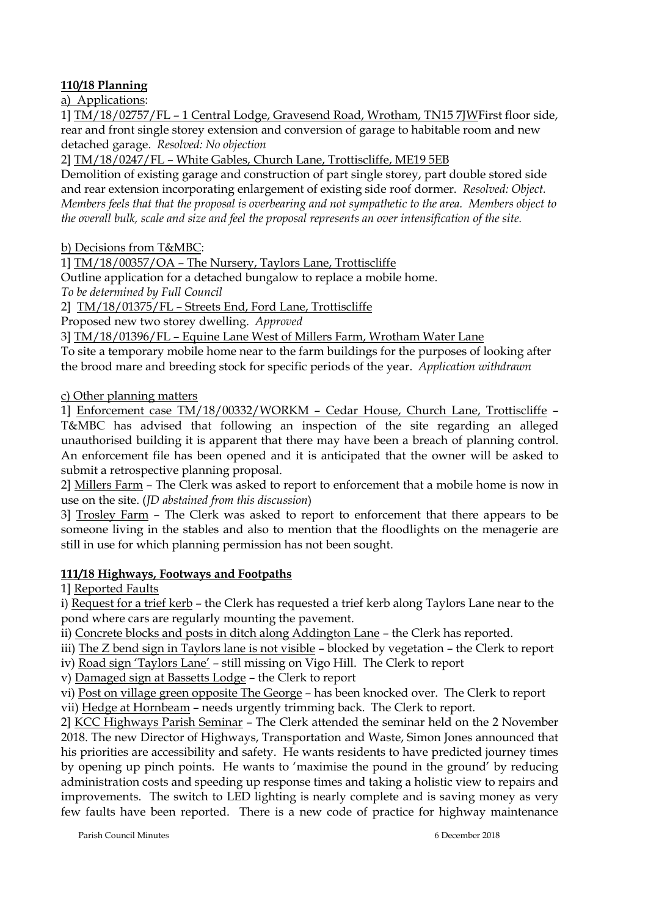# **110/18 Planning**

a) Applications:

1] TM/18/02757/FL – 1 Central Lodge, Gravesend Road, Wrotham, TN15 7JWFirst floor side, rear and front single storey extension and conversion of garage to habitable room and new detached garage. *Resolved: No objection*

2] TM/18/0247/FL – White Gables, Church Lane, Trottiscliffe, ME19 5EB

Demolition of existing garage and construction of part single storey, part double stored side and rear extension incorporating enlargement of existing side roof dormer. *Resolved: Object. Members feels that that the proposal is overbearing and not sympathetic to the area. Members object to the overall bulk, scale and size and feel the proposal represents an over intensification of the site.*

b) Decisions from T&MBC:

1] TM/18/00357/OA – The Nursery, Taylors Lane, Trottiscliffe

Outline application for a detached bungalow to replace a mobile home.

*To be determined by Full Council*

2] TM/18/01375/FL – Streets End, Ford Lane, Trottiscliffe

Proposed new two storey dwelling. *Approved*

3] TM/18/01396/FL – Equine Lane West of Millers Farm, Wrotham Water Lane

To site a temporary mobile home near to the farm buildings for the purposes of looking after the brood mare and breeding stock for specific periods of the year. *Application withdrawn*

c) Other planning matters

1] Enforcement case TM/18/00332/WORKM – Cedar House, Church Lane, Trottiscliffe – T&MBC has advised that following an inspection of the site regarding an alleged unauthorised building it is apparent that there may have been a breach of planning control. An enforcement file has been opened and it is anticipated that the owner will be asked to submit a retrospective planning proposal.

2] Millers Farm – The Clerk was asked to report to enforcement that a mobile home is now in use on the site. (*JD abstained from this discussion*)

3] Trosley Farm – The Clerk was asked to report to enforcement that there appears to be someone living in the stables and also to mention that the floodlights on the menagerie are still in use for which planning permission has not been sought.

# **111/18 Highways, Footways and Footpaths**

1] Reported Faults

i) Request for a trief kerb – the Clerk has requested a trief kerb along Taylors Lane near to the pond where cars are regularly mounting the pavement.

ii) Concrete blocks and posts in ditch along Addington Lane – the Clerk has reported.

iii) The Z bend sign in Taylors lane is not visible – blocked by vegetation – the Clerk to report

iv) Road sign 'Taylors Lane' – still missing on Vigo Hill. The Clerk to report

v) Damaged sign at Bassetts Lodge – the Clerk to report

vi) Post on village green opposite The George – has been knocked over. The Clerk to report vii) Hedge at Hornbeam – needs urgently trimming back. The Clerk to report.

2] KCC Highways Parish Seminar – The Clerk attended the seminar held on the 2 November 2018. The new Director of Highways, Transportation and Waste, Simon Jones announced that his priorities are accessibility and safety. He wants residents to have predicted journey times by opening up pinch points. He wants to 'maximise the pound in the ground' by reducing administration costs and speeding up response times and taking a holistic view to repairs and improvements. The switch to LED lighting is nearly complete and is saving money as very few faults have been reported. There is a new code of practice for highway maintenance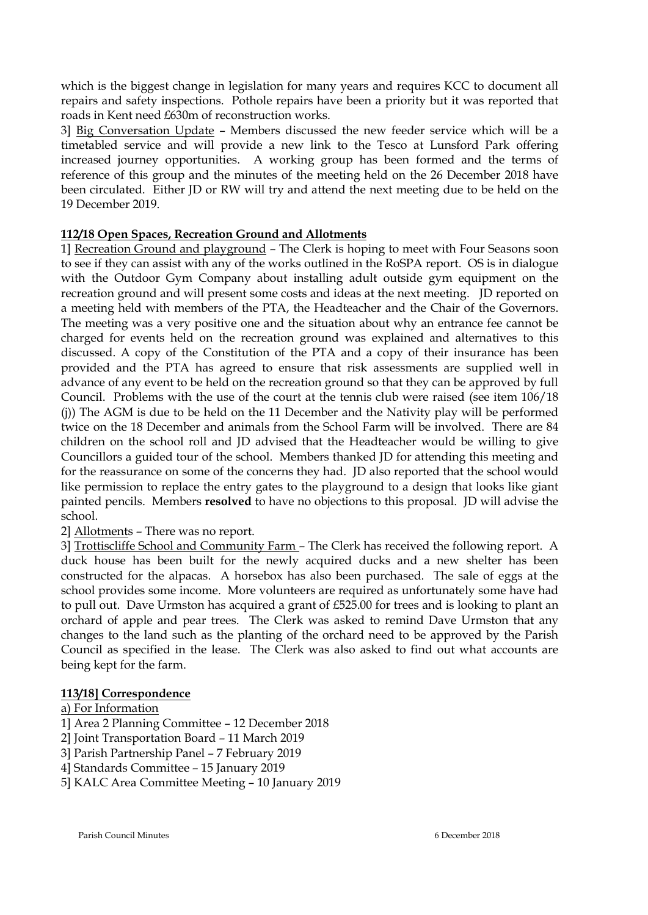which is the biggest change in legislation for many years and requires KCC to document all repairs and safety inspections. Pothole repairs have been a priority but it was reported that roads in Kent need £630m of reconstruction works.

3] Big Conversation Update – Members discussed the new feeder service which will be a timetabled service and will provide a new link to the Tesco at Lunsford Park offering increased journey opportunities. A working group has been formed and the terms of reference of this group and the minutes of the meeting held on the 26 December 2018 have been circulated. Either JD or RW will try and attend the next meeting due to be held on the 19 December 2019.

## **112/18 Open Spaces, Recreation Ground and Allotments**

1] Recreation Ground and playground – The Clerk is hoping to meet with Four Seasons soon to see if they can assist with any of the works outlined in the RoSPA report. OS is in dialogue with the Outdoor Gym Company about installing adult outside gym equipment on the recreation ground and will present some costs and ideas at the next meeting. JD reported on a meeting held with members of the PTA, the Headteacher and the Chair of the Governors. The meeting was a very positive one and the situation about why an entrance fee cannot be charged for events held on the recreation ground was explained and alternatives to this discussed. A copy of the Constitution of the PTA and a copy of their insurance has been provided and the PTA has agreed to ensure that risk assessments are supplied well in advance of any event to be held on the recreation ground so that they can be approved by full Council. Problems with the use of the court at the tennis club were raised (see item 106/18 (j)) The AGM is due to be held on the 11 December and the Nativity play will be performed twice on the 18 December and animals from the School Farm will be involved. There are 84 children on the school roll and JD advised that the Headteacher would be willing to give Councillors a guided tour of the school. Members thanked JD for attending this meeting and for the reassurance on some of the concerns they had. JD also reported that the school would like permission to replace the entry gates to the playground to a design that looks like giant painted pencils. Members **resolved** to have no objections to this proposal. JD will advise the school.

## 2] Allotments – There was no report.

3] Trottiscliffe School and Community Farm – The Clerk has received the following report. A duck house has been built for the newly acquired ducks and a new shelter has been constructed for the alpacas. A horsebox has also been purchased. The sale of eggs at the school provides some income. More volunteers are required as unfortunately some have had to pull out. Dave Urmston has acquired a grant of £525.00 for trees and is looking to plant an orchard of apple and pear trees. The Clerk was asked to remind Dave Urmston that any changes to the land such as the planting of the orchard need to be approved by the Parish Council as specified in the lease. The Clerk was also asked to find out what accounts are being kept for the farm.

# **113/18] Correspondence**

## a) For Information

- 1] Area 2 Planning Committee 12 December 2018
- 2] Joint Transportation Board 11 March 2019
- 3] Parish Partnership Panel 7 February 2019
- 4] Standards Committee 15 January 2019
- 5] KALC Area Committee Meeting 10 January 2019